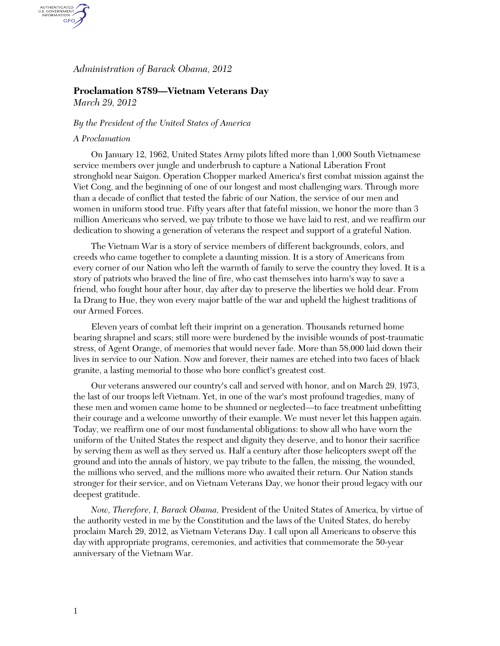# *Administration of Barack Obama, 2012*

# **Proclamation 8789—Vietnam Veterans Day**

*March 29, 2012* 

AUTHENTICATED<br>U.S. GOVERNMENT<br>INFORMATION GPO.

### *By the President of the United States of America*

#### *A Proclamation*

On January 12, 1962, United States Army pilots lifted more than 1,000 South Vietnamese service members over jungle and underbrush to capture a National Liberation Front stronghold near Saigon. Operation Chopper marked America's first combat mission against the Viet Cong, and the beginning of one of our longest and most challenging wars. Through more than a decade of conflict that tested the fabric of our Nation, the service of our men and women in uniform stood true. Fifty years after that fateful mission, we honor the more than 3 million Americans who served, we pay tribute to those we have laid to rest, and we reaffirm our dedication to showing a generation of veterans the respect and support of a grateful Nation.

The Vietnam War is a story of service members of different backgrounds, colors, and creeds who came together to complete a daunting mission. It is a story of Americans from every corner of our Nation who left the warmth of family to serve the country they loved. It is a story of patriots who braved the line of fire, who cast themselves into harm's way to save a friend, who fought hour after hour, day after day to preserve the liberties we hold dear. From Ia Drang to Hue, they won every major battle of the war and upheld the highest traditions of our Armed Forces.

Eleven years of combat left their imprint on a generation. Thousands returned home bearing shrapnel and scars; still more were burdened by the invisible wounds of post-traumatic stress, of Agent Orange, of memories that would never fade. More than 58,000 laid down their lives in service to our Nation. Now and forever, their names are etched into two faces of black granite, a lasting memorial to those who bore conflict's greatest cost.

Our veterans answered our country's call and served with honor, and on March 29, 1973, the last of our troops left Vietnam. Yet, in one of the war's most profound tragedies, many of these men and women came home to be shunned or neglected—to face treatment unbefitting their courage and a welcome unworthy of their example. We must never let this happen again. Today, we reaffirm one of our most fundamental obligations: to show all who have worn the uniform of the United States the respect and dignity they deserve, and to honor their sacrifice by serving them as well as they served us. Half a century after those helicopters swept off the ground and into the annals of history, we pay tribute to the fallen, the missing, the wounded, the millions who served, and the millions more who awaited their return. Our Nation stands stronger for their service, and on Vietnam Veterans Day, we honor their proud legacy with our deepest gratitude.

*Now, Therefore, I, Barack Obama,* President of the United States of America, by virtue of the authority vested in me by the Constitution and the laws of the United States, do hereby proclaim March 29, 2012, as Vietnam Veterans Day. I call upon all Americans to observe this day with appropriate programs, ceremonies, and activities that commemorate the 50-year anniversary of the Vietnam War.